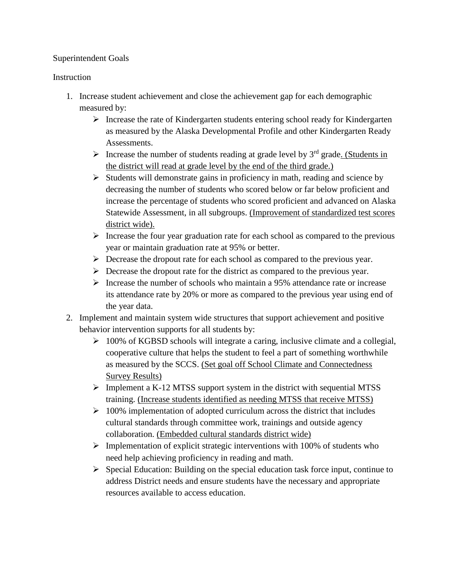# Superintendent Goals

# Instruction

- 1. Increase student achievement and close the achievement gap for each demographic measured by:
	- $\triangleright$  Increase the rate of Kindergarten students entering school ready for Kindergarten as measured by the Alaska Developmental Profile and other Kindergarten Ready Assessments.
	- Increase the number of students reading at grade level by  $3<sup>rd</sup>$  grade. (Students in the district will read at grade level by the end of the third grade.)
	- $\triangleright$  Students will demonstrate gains in proficiency in math, reading and science by decreasing the number of students who scored below or far below proficient and increase the percentage of students who scored proficient and advanced on Alaska Statewide Assessment, in all subgroups. (Improvement of standardized test scores district wide).
	- Increase the four year graduation rate for each school as compared to the previous year or maintain graduation rate at 95% or better.
	- $\triangleright$  Decrease the dropout rate for each school as compared to the previous year.
	- $\triangleright$  Decrease the dropout rate for the district as compared to the previous year.
	- $\triangleright$  Increase the number of schools who maintain a 95% attendance rate or increase its attendance rate by 20% or more as compared to the previous year using end of the year data.
- 2. Implement and maintain system wide structures that support achievement and positive behavior intervention supports for all students by:
	- $\geq 100\%$  of KGBSD schools will integrate a caring, inclusive climate and a collegial, cooperative culture that helps the student to feel a part of something worthwhile as measured by the SCCS. (Set goal off School Climate and Connectedness Survey Results)
	- $\triangleright$  Implement a K-12 MTSS support system in the district with sequential MTSS training. (Increase students identified as needing MTSS that receive MTSS)
	- $\geq 100\%$  implementation of adopted curriculum across the district that includes cultural standards through committee work, trainings and outside agency collaboration. (Embedded cultural standards district wide)
	- $\triangleright$  Implementation of explicit strategic interventions with 100% of students who need help achieving proficiency in reading and math.
	- $\triangleright$  Special Education: Building on the special education task force input, continue to address District needs and ensure students have the necessary and appropriate resources available to access education.